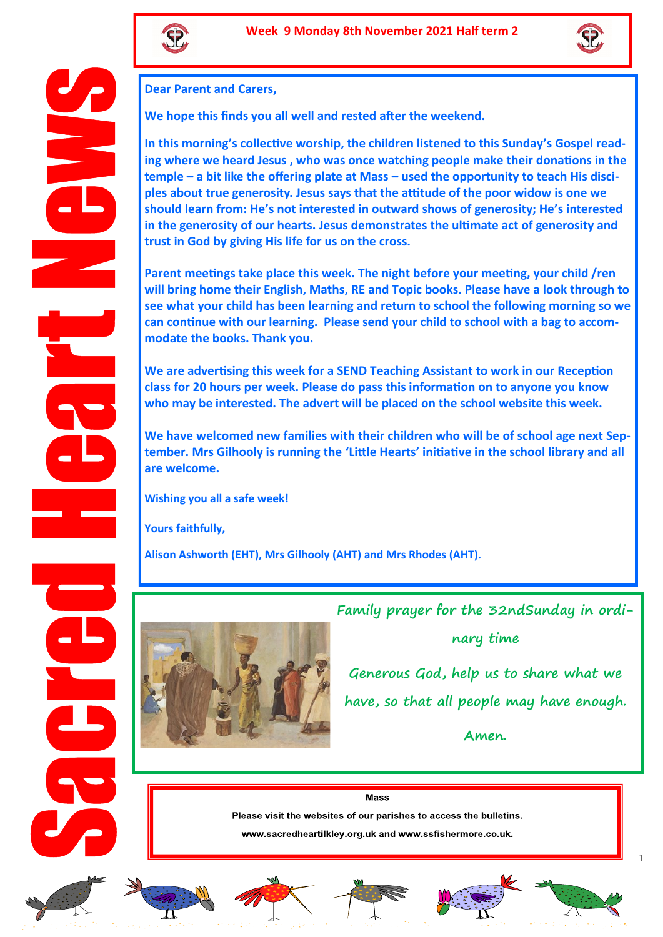



## **Dear Parent and Carers,**

**We hope this finds you all well and rested after the weekend.**

**In this morning's collective worship, the children listened to this Sunday's Gospel reading where we heard Jesus , who was once watching people make their donations in the temple – a bit like the offering plate at Mass – used the opportunity to teach His disciples about true generosity. Jesus says that the attitude of the poor widow is one we should learn from: He's not interested in outward shows of generosity; He's interested in the generosity of our hearts. Jesus demonstrates the ultimate act of generosity and trust in God by giving His life for us on the cross.**

**Parent meetings take place this week. The night before your meeting, your child /ren will bring home their English, Maths, RE and Topic books. Please have a look through to see what your child has been learning and return to school the following morning so we can continue with our learning. Please send your child to school with a bag to accommodate the books. Thank you.** 

**We are advertising this week for a SEND Teaching Assistant to work in our Reception class for 20 hours per week. Please do pass this information on to anyone you know who may be interested. The advert will be placed on the school website this week.** 

**We have welcomed new families with their children who will be of school age next September. Mrs Gilhooly is running the 'Little Hearts' initiative in the school library and all are welcome.** 

**Wishing you all a safe week!**

**Yours faithfully,**

**Alison Ashworth (EHT), Mrs Gilhooly (AHT) and Mrs Rhodes (AHT).** 



**Family prayer for the 32ndSunday in ordi-**

**nary time**

**Generous God, help us to share what we have, so that all people may have enough.** 

**Amen.** 

**Mass** 

Please visit the websites of our parishes to access the bulletins.

www.sacredheartilkley.org.uk and www.ssfishermore.co.uk.













1